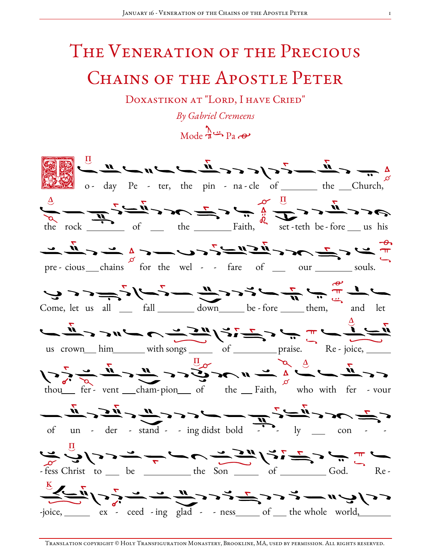## The Veneration of the Precious CHAINS OF THE APOSTLE PETER

DOXASTIKON AT "LORD, I HAVE CRIED"

By Gabriel Cremeens

 $Mode \rightarrow Pa \rightarrow P$ 

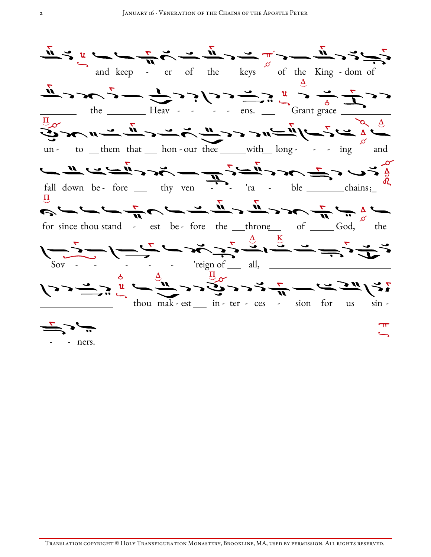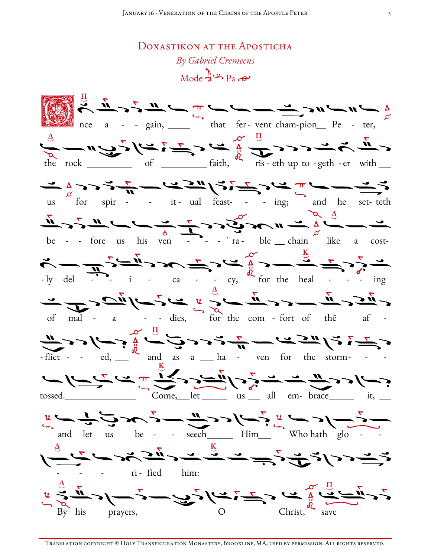DOXASTIKON AT THE APOSTICHA

By Gabriel Cremeens  $\text{Mode } \frac{\Lambda}{\Lambda}$ <sup>2</sup> Pa  $\Theta$  $\frac{1}{\sqrt{2}}$   $\frac{1}{\sqrt{2}}$   $\frac{1}{\sqrt{2}}$   $\frac{1}{\sqrt{2}}$   $\frac{1}{\sqrt{2}}$   $\frac{1}{\sqrt{2}}$   $\frac{1}{\sqrt{2}}$   $\frac{1}{\sqrt{2}}$   $\frac{1}{\sqrt{2}}$   $\frac{1}{\sqrt{2}}$   $\frac{1}{\sqrt{2}}$   $\frac{1}{\sqrt{2}}$   $\frac{1}{\sqrt{2}}$   $\frac{1}{\sqrt{2}}$   $\frac{1}{\sqrt{2}}$   $\frac{1}{\sqrt{2}}$   $\frac{1}{\sqrt{2}}$   $\frac{1}{\alpha}$  and  $\frac{1}{\alpha}$  and  $\frac{1}{\alpha}$  and  $\frac{1}{\alpha}$  and  $\frac{1}{\alpha}$  and  $\frac{1}{\alpha}$  and  $\frac{1}{\alpha}$  and  $\frac{1}{\alpha}$  and  $\frac{1}{\alpha}$  and  $\frac{1}{\alpha}$  and  $\frac{1}{\alpha}$  and  $\frac{1}{\alpha}$  and  $\frac{1}{\alpha}$  and  $\frac{1}{\alpha}$  and  $\frac{1}{\alpha}$   $\frac{1}{\sqrt{2}}$   $\frac{1}{\sqrt{2}}$   $\frac{1}{\sqrt{2}}$   $\frac{1}{\sqrt{2}}$   $\frac{1}{\sqrt{2}}$   $\frac{1}{\sqrt{2}}$   $\frac{1}{\sqrt{2}}$   $\frac{1}{\sqrt{2}}$   $\frac{1}{\sqrt{2}}$   $\frac{1}{\sqrt{2}}$   $\frac{1}{\sqrt{2}}$   $\frac{1}{\sqrt{2}}$   $\frac{1}{\sqrt{2}}$   $\frac{1}{\sqrt{2}}$   $\frac{1}{\sqrt{2}}$   $\frac{1}{\sqrt{2}}$   $\frac{1}{\sqrt{2}}$   $\frac{1}{\sqrt{2}}$   $\frac{1}{\sqrt{2}}$   $\frac{1}{\sqrt{2}}$   $\frac{1}{\sqrt{2}}$   $\frac{1}{\sqrt{2}}$   $\frac{1}{\sqrt{2}}$   $\frac{1}{\sqrt{2}}$   $\frac{1}{\sqrt{2}}$   $\frac{1}{\sqrt{2}}$   $\frac{1}{\sqrt{2}}$   $\frac{1}{\sqrt{2}}$   $\frac{1}{\sqrt{2}}$   $\frac{1}{\sqrt{2}}$   $\frac{1}{\sqrt{2}}$   $\frac{1}{\sqrt{2}}$   $\frac{1}{\sqrt{2}}$   $\frac{1}{\sqrt{2}}$   $\sum_{-1y}$  del  $\sum_{i}$   $\sum_{i}$   $\sum_{i}$   $\sum_{i}$   $\sum_{i}$   $\sum_{i}$   $\sum_{i}$   $\sum_{i}$   $\sum_{i}$   $\sum_{i}$   $\sum_{i}$   $\sum_{i}$   $\sum_{i}$   $\sum_{i}$   $\sum_{i}$   $\sum_{i}$   $\sum_{i}$   $\sum_{i}$   $\sum_{i}$   $\sum_{i}$   $\sum_{i}$   $\sum_{i}$   $\sum_{i}$   $\sum_{i}$   $\sum_{i}$   $\sum_{i}$ of mal  $\sim$   $\frac{1}{2}$  and  $\frac{1}{2}$  dies,  $\frac{1}{2}$  for the com-fort of the  $\frac{1}{2}$  and  $\frac{1}{2}$  $\frac{11}{\sqrt{2}}$ >> $\frac{1}{\sqrt{2}}$ ,  $\frac{1}{\sqrt{2}}$ ,  $\frac{1}{\sqrt{2}}$ ,  $\frac{1}{\sqrt{2}}$ ,  $\frac{1}{\sqrt{2}}$ ,  $\frac{1}{\sqrt{2}}$ ,  $\frac{1}{\sqrt{2}}$ ,  $\frac{1}{\sqrt{2}}$ ,  $\frac{1}{\sqrt{2}}$ ,  $\frac{1}{\sqrt{2}}$ ,  $\frac{1}{\sqrt{2}}$ ,  $\frac{1}{\sqrt{2}}$ ,  $\frac{1}{\sqrt{2}}$ ,  $\frac{1}{\sqrt{2}}$ ,  $\frac{1}{\sqrt{2$ جسم احساب شرح المستعمل المستعمل السنة المستعمل السنة السنة السنة السنة السنة السنة السنة السنة السنة Come, let us all em-brace it, tossed.\_\_\_\_\_\_\_\_\_\_\_  $u$   $\frac{1}{2}$   $\frac{1}{2}$   $\frac{1}{2}$   $\frac{1}{2}$   $\frac{1}{2}$   $\frac{1}{2}$   $\frac{1}{2}$   $\frac{1}{2}$   $\frac{1}{2}$   $\frac{1}{2}$   $\frac{1}{2}$   $\frac{1}{2}$   $\frac{1}{2}$   $\frac{1}{2}$   $\frac{1}{2}$   $\frac{1}{2}$   $\frac{1}{2}$   $\frac{1}{2}$   $\frac{1}{2}$   $\frac{1}{2}$   $\frac{1}{2}$   $\frac{1}{2$ می<u>ت د د باخ پس شرکت شرکت شد د ملکو مست شر</u><br>محمد است د د باخ <del>برخ برخ شرکت شرکت شرکت می</del>  $\vdots$  ri-fied him:  $u \rightarrow u$ <br>By his prayers,  $u \rightarrow u$ ,  $v \rightarrow u$ ,  $v \rightarrow u$ ,  $v \rightarrow u$ ,  $v \rightarrow u$ ,  $v \rightarrow u$ ,  $v \rightarrow u$ ,  $v \rightarrow u$ ,  $v \rightarrow u$ ,  $v \rightarrow u$ ,  $v \rightarrow u$ ,  $v \rightarrow u$ ,  $v \rightarrow u$ ,  $v \rightarrow u$ ,  $v \rightarrow u$ ,  $v \rightarrow u$ ,  $v \rightarrow u$ ,  $v \rightarrow u$ ,  $v \rightarrow u$ ,  $v \rightarrow u$ ,  $v \rightarrow u$ ,  $v \rightarrow u$ ,  $v \rightarrow u$ ,  $v \rightarrow u$ ,  $v \rightarrow u$